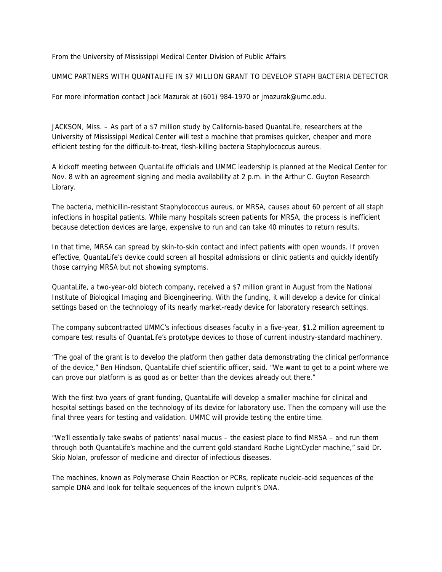From the University of Mississippi Medical Center Division of Public Affairs

UMMC PARTNERS WITH QUANTALIFE IN \$7 MILLION GRANT TO DEVELOP STAPH BACTERIA DETECTOR

For more information contact Jack Mazurak at (601) 984-1970 or jmazurak@umc.edu.

JACKSON, Miss. – As part of a \$7 million study by California-based QuantaLife, researchers at the University of Mississippi Medical Center will test a machine that promises quicker, cheaper and more efficient testing for the difficult-to-treat, flesh-killing bacteria Staphylococcus aureus.

A kickoff meeting between QuantaLife officials and UMMC leadership is planned at the Medical Center for Nov. 8 with an agreement signing and media availability at 2 p.m. in the Arthur C. Guyton Research Library.

The bacteria, methicillin-resistant Staphylococcus aureus, or MRSA, causes about 60 percent of all staph infections in hospital patients. While many hospitals screen patients for MRSA, the process is inefficient because detection devices are large, expensive to run and can take 40 minutes to return results.

In that time, MRSA can spread by skin-to-skin contact and infect patients with open wounds. If proven effective, QuantaLife's device could screen all hospital admissions or clinic patients and quickly identify those carrying MRSA but not showing symptoms.

QuantaLife, a two-year-old biotech company, received a \$7 million grant in August from the National Institute of Biological Imaging and Bioengineering. With the funding, it will develop a device for clinical settings based on the technology of its nearly market-ready device for laboratory research settings.

The company subcontracted UMMC's infectious diseases faculty in a five-year, \$1.2 million agreement to compare test results of QuantaLife's prototype devices to those of current industry-standard machinery.

"The goal of the grant is to develop the platform then gather data demonstrating the clinical performance of the device," Ben Hindson, QuantaLife chief scientific officer, said. "We want to get to a point where we can prove our platform is as good as or better than the devices already out there."

With the first two years of grant funding, QuantaLife will develop a smaller machine for clinical and hospital settings based on the technology of its device for laboratory use. Then the company will use the final three years for testing and validation. UMMC will provide testing the entire time.

"We'll essentially take swabs of patients' nasal mucus – the easiest place to find MRSA – and run them through both QuantaLife's machine and the current gold-standard Roche LightCycler machine," said Dr. Skip Nolan, professor of medicine and director of infectious diseases.

The machines, known as Polymerase Chain Reaction or PCRs, replicate nucleic-acid sequences of the sample DNA and look for telltale sequences of the known culprit's DNA.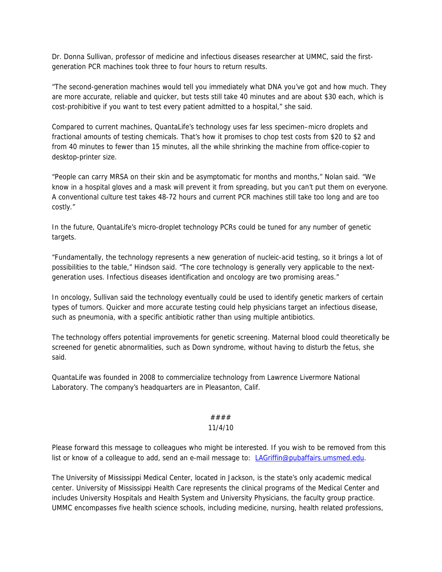Dr. Donna Sullivan, professor of medicine and infectious diseases researcher at UMMC, said the firstgeneration PCR machines took three to four hours to return results.

"The second-generation machines would tell you immediately what DNA you've got and how much. They are more accurate, reliable and quicker, but tests still take 40 minutes and are about \$30 each, which is cost-prohibitive if you want to test every patient admitted to a hospital," she said.

Compared to current machines, QuantaLife's technology uses far less specimen–micro droplets and fractional amounts of testing chemicals. That's how it promises to chop test costs from \$20 to \$2 and from 40 minutes to fewer than 15 minutes, all the while shrinking the machine from office-copier to desktop-printer size.

"People can carry MRSA on their skin and be asymptomatic for months and months," Nolan said. "We know in a hospital gloves and a mask will prevent it from spreading, but you can't put them on everyone. A conventional culture test takes 48-72 hours and current PCR machines still take too long and are too costly."

In the future, QuantaLife's micro-droplet technology PCRs could be tuned for any number of genetic targets.

"Fundamentally, the technology represents a new generation of nucleic-acid testing, so it brings a lot of possibilities to the table," Hindson said. "The core technology is generally very applicable to the nextgeneration uses. Infectious diseases identification and oncology are two promising areas."

In oncology, Sullivan said the technology eventually could be used to identify genetic markers of certain types of tumors. Quicker and more accurate testing could help physicians target an infectious disease, such as pneumonia, with a specific antibiotic rather than using multiple antibiotics.

The technology offers potential improvements for genetic screening. Maternal blood could theoretically be screened for genetic abnormalities, such as Down syndrome, without having to disturb the fetus, she said.

QuantaLife was founded in 2008 to commercialize technology from Lawrence Livermore National Laboratory. The company's headquarters are in Pleasanton, Calif.

## #### 11/4/10

Please forward this message to colleagues who might be interested. If you wish to be removed from this list or know of a colleague to add, send an e-mail message to: LAGriffin@pubaffairs.umsmed.edu.

The University of Mississippi Medical Center, located in Jackson, is the state's only academic medical center. University of Mississippi Health Care represents the clinical programs of the Medical Center and includes University Hospitals and Health System and University Physicians, the faculty group practice. UMMC encompasses five health science schools, including medicine, nursing, health related professions,